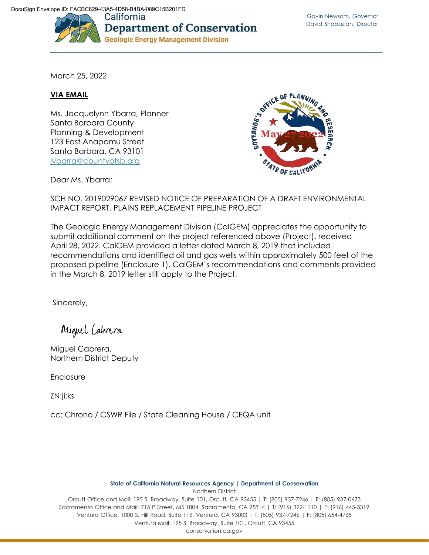

March 25, 2022

## **VIA EMAIL**

Ms. Jacquelynn Ybarra, Planner Santa Barbara County Planning & Development 123 East Anapamu Street Santa Barbara, CA 93101 [jybarra@countyofsb.org](mailto:jybarra@countyofsb.org)



Dear Ms. Ybarra:

SCH NO. 2019029067 REVISED NOTICE OF PREPARATION OF A DRAFT ENVIRONMENTAL IMPACT REPORT, PLAINS REPLACEMENT PIPELINE PROJECT

The Geologic Energy Management Division (CalGEM) appreciates the opportunity to submit additional comment on the project referenced above (Project), received April 28, 2022. CalGEM provided a letter dated March 8, 2019 that included recommendations and identified oil and gas wells within approximately 500 feet of the proposed pipeline (Enclosure 1). CalGEM's recommendations and comments provided in the March 8, 2019 letter still apply to the Project.

Sincerely,

Miguel Cabrera

Miguel Cabrera, Northern District Deputy

Enclosure

ZN:ji:ks

cc: Chrono / CSWR File / State Cleaning House / CEQA unit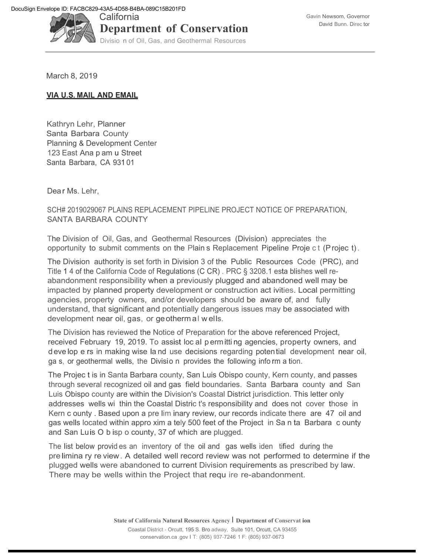

March 8, 2019

## **VIA U.S. MAIL AND EMAIL**

Kathryn Lehr, Planner Santa Barbara County Planning & Development Center 123 East Ana p am u Street Santa Barbara, CA 931 01

Dear Ms. Lehr.

SCH# 2019029067 PLAINS REPLACEMENT PIPELINE PROJECT NOTICE OF PREPARATION, SANTA BARBARA COUNTY

The Division of Oil, Gas, and Geothermal Resources (Division) appreciates the opportunity to submit comments on the Plain s Replacement Pipeline Proje c t (Projec t).

The Division authority is set forth in Division 3 of the Public Resources Code (PRC), and Title 1 4 of the California Code of Regulations (C CR) . PRC § 3208.1 esta blishes well reabandonment responsibility when a previously plugged and abandoned well may be impacted by planned property development or construction act ivities. Local permitting agencies, property owners, and/or developers should be aware of, and fully understand, that significant and potentially dangerous issues may be associated with development near oil, gas, or geotherm al w ells.

The Division has reviewed the Notice of Preparation for the above referenced Project, received February 19, 2019. To assist loc al p ermitti ng agencies, property owners, and d eve lop e rs in making wise la nd use decisions regarding potential development near oil, ga s, or geothermal wells, the Divisio n provides the following info rm a tion.

The Projec t is in Santa Barbara county, San Luis Obispo county, Kern county, and passes through several recognized oil and gas field boundaries. Santa Barbara county and San Luis Obispo county are within the Division's Coastal District jurisdiction. This letter only addresses wells wi thin the Coastal Distric t's responsibility and does not cover those in Kern c ounty . Based upon a pre lim inary review, our records indicate there are 47 oil and gas wells located within appro xim a tely 500 feet of the Project in Sa n ta Barbara c ounty and San Luis O b isp o county, 37 of which are plugged.

The list below provid es an inventory of the oil and gas wells iden tified during the pre limina ry re view. A detailed well record review was not performed to determine if the plugged wells were abandoned to current Division requirements as prescribed by law. There may be wells within the Project that requ ire re-abandonment.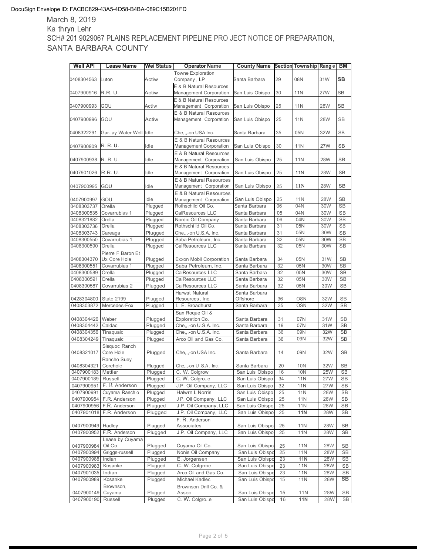## DocuSign Envelope ID: FACBC829-43A5-4D58-B4BA-089C15B201FD

March 8, 2019 Ka thryn Lehr SCH# 201 9029067 PLAINS REPLACEMENT PIPELINE PRO JECT NOTICE OF PREPARATION, SANTA BARBARA COUNTY

| <b>Well API</b>      | <b>Lease Name</b>          | Wei Status | <b>Operator Name</b>                                         | <b>County Name</b>        |    | Section Township Range |            | BM        |
|----------------------|----------------------------|------------|--------------------------------------------------------------|---------------------------|----|------------------------|------------|-----------|
| 0408304563           | Luton                      | Actiw      | <b>Towne Exploration</b><br>Company, LP                      | Santa Barbara             | 29 | 08N                    | 31W        | <b>SB</b> |
| 0407900916           | R.R. U.                    | Actiw      | <b>E &amp; B Natural Resources</b><br>Management Corporation | San Luis Obispo           | 30 | 11N                    | <b>27W</b> | <b>SB</b> |
| 0407900993           | GOU                        | Acti w     | E & B Natural Resources<br>Management Corporation            | San Luis Obispo           | 25 | <b>11N</b>             | <b>28W</b> | <b>SB</b> |
| 0407900996           | GOU                        | Actiw      | E & B Natural Resources<br>Management Corporation            | San Luis Obispo           | 25 | 11N                    | <b>28W</b> | <b>SB</b> |
| 0408322291           | Garay Water Well Idle      |            | Che,,,-on USA Inc.                                           | Santa Barbara             | 35 | 05N                    | 32W        | <b>SB</b> |
| 0407900909           | R. R. U.                   | Idle       | E & B Natural Resources<br><b>Management Corporation</b>     | San Luis Obispo           | 30 | <b>11N</b>             | <b>27W</b> | <b>SB</b> |
| 0407900938           | R. R. U.                   | Idle       | E & B Natural Resources<br>Management Corporation            | San Luis Obispo           | 25 | 11N                    | <b>28W</b> | <b>SB</b> |
| 0407901026           | <b>R.R. U</b>              | Idle       | E & B Natural Resources<br>Management Corporation            | San Luis Obispo           | 25 | <b>11N</b>             | <b>28W</b> | <b>SB</b> |
| 0407900995           | GOU                        | Idle       | <b>E &amp; B Natural Resources</b><br>Management Corporation | San Luis Obispo           | 25 | 11N                    | <b>28W</b> | <b>SB</b> |
| 0407900997           | GOU                        | Idle       | E & B Natural Resources<br>Management Corporation            | San Luis Obispo           | 25 | <b>11N</b>             | <b>28W</b> | <b>SB</b> |
| 0408303737           | Orella                     | Plugged    | Rothschild Oil Co.                                           | Santa Barbara             | 06 | 04N                    | 30W        | <b>SB</b> |
| 0408300535           | Covarrubias 1              | Plugged    | <b>CalResources LLC</b>                                      | Santa Barbara             | 05 | 04N                    | 30W        | <b>SB</b> |
| 0408321882           | Orella                     | Plugged    | Nordic Oil Company                                           | Santa Barbara             | 06 | 04N                    | 30W        | <b>SB</b> |
| 0408303736           | Orella                     | Plugged    | Rothschi Id Oil Co.                                          | Santa Barbara             | 31 | 05N                    | 30W        | <b>SB</b> |
| 0408303743           | Careaga                    | Plugged    | Che,,,-on U.S.A. Inc.                                        | Santa Barbara             | 31 | 05N                    | 30W        | <b>SB</b> |
| 0408300550           | Covarrubias 1              | Plugged    | Saba Petroleum, Inc.                                         | Santa Barbara             | 32 | 05N                    | 30W        | <b>SB</b> |
| 0408300590           | Orella                     | Plugged    | CalResources LLC                                             | Santa Barbara             | 32 | 05N                    | 30W        | <b>SB</b> |
|                      | Pierre F Baron Et          |            |                                                              |                           |    |                        |            |           |
| 0408304370           | Ux Core Hole               | Plugged    | <b>Exxon Mobil Corporation</b>                               | Santa Barbara             | 34 | 05N                    | 31W        | <b>SB</b> |
| 0408300551           | Covarrubias 1              | Plugged    | Saba Petroleum, Inc.                                         | Santa Barbara             | 32 | 05N                    | 30W        | <b>SB</b> |
| 0408300589           | Orella                     | Plugged    | <b>CalResources LLC</b>                                      | Santa Barbara             | 32 | 05N                    | 30W        | <b>SB</b> |
| 0408300591           | Orella                     | Plugged    | CalResources LLC                                             | Santa Barbara             | 32 | 05N                    | 30W        | <b>SB</b> |
| 0408300587           | Covarrubias 2              | Plugged    | CalResources LLC                                             | Santa Barbara             | 32 | 05N                    | 30W        | <b>SB</b> |
| 0428304800           | <b>State 2199</b>          | Plugged    | <b>Harwst Natural</b><br>Resources, Inc.                     | Santa Barbara<br>Offshore | 36 | <b>OSN</b>             | 32W        | <b>SB</b> |
| 0408303872           | Mercedes-Fox               | Plugged    | L. E. Broadhurst                                             | Santa Barbara             | 35 | <b>OSN</b>             | 32W        | <b>SB</b> |
| 0408304426 Weber     |                            | Plugged    | San Roque Oil &<br>Exploration Co.                           | Santa Barbara             | 31 | 07N                    | 31W        | <b>SB</b> |
| 0408304442           | Caldac                     | Plugged    | Che,,,-on U.S.A. Inc.                                        | Santa Barbara             | 19 | 07N                    | 31W        | <b>SB</b> |
| 0408304356 Tinaquaic |                            | Plugged    | Che,,,-on U.S.A. Inc.                                        | Santa Barbara             | 36 | 09N                    | 32W        | <b>SB</b> |
| 0408304249           | Tinaquaic                  | Plugged    | Arco Oil and Gas Co.                                         | Santa Barbara             | 36 | 09N                    | 32W        | <b>SB</b> |
| 0408321017           | Sisquoc Ranch<br>Core Hole | Plugged    | Che,,,-on USA Inc.                                           | Santa Barbara             | 14 | 09N                    | 32W        | <b>SB</b> |
| 0408304321           | Rancho Suey<br>Corehole    | Plugged    | Che,,,-on U.S.A. Inc.                                        | Santa Barbara             | 20 | 10N                    | 32W        | <b>SB</b> |
| 0407900183           | Mettler                    | Plugged    | C. W. Colgrow                                                | San Luis Obispo           | 16 | <b>10N</b>             | 25W        | <b>SB</b> |
| 0407900189           | Russell                    | Plugged    | C. W. Colgroe                                                | San Luis Obispo           | 34 | 11N                    | 27W        | SB        |
| 0407900951           | F. R Anderson              | Plugged    | J.P. Oil Company, LLC                                        | San Luis Obispo           | 32 | <b>11N</b>             | <b>27W</b> | SB        |
| 0407900991           | Cuyama Ranch o             | Plugged    | Halwrn L Norris                                              | San Luis Obispo           | 25 | <b>11N</b>             | <b>28W</b> | SB        |
| 0407900954           | F.R. Anderson              | Plugged    | J P. Oil Company, LLC                                        | San Luis Obispo           | 25 | <b>11N</b>             | <b>28W</b> | SB        |
| 0407900956           | F.R. Anderson              | Plugged    | J.P. Oil Company, LLC                                        | San Luis Obispo           | 25 | 11N                    | <b>28W</b> | SB        |
| 0407901018           | F.R. Anderson              | Plugged    | J.P. Oil Company, LLC                                        | San Luis Obispo           | 25 | <b>11N</b>             | 28W        | SB        |
| 0407900949           | Hadley                     | Plugged    | F. R. Anderson<br>Associates                                 | San Luis Obispo           | 25 | 11N                    | <b>28W</b> | SB        |
| 0407900952           | F.R. Anderson              | Plugged    | J.P. Oil Company, LLC                                        | San Luis Obispo           | 25 | 11N                    | <b>28W</b> | SB        |
| 0407900984           | Lease by Cuyama<br>Oil Co. | Plugged    | Cuyama Oil Co.                                               | San Luis Obispo           | 25 | 11N                    | 28W        | SB        |
| 0407900994           | Griggs-russell             | Plugged    | Nonis Oil Company                                            | San Luis Obispo           | 25 | 11N                    | <b>28W</b> | SB        |
| 0407900988           | Indian                     | Plugged    | E. Jorgensen                                                 | San Luis Obispo           | 23 | <b>11N</b>             | 28W        | SB        |
| 0407900983           |                            |            | C. W. Colgrme                                                |                           | 23 |                        | <b>28W</b> | SB        |
|                      | Kosanke                    | Plugged    |                                                              | San Luis Obispo           |    | <b>11N</b>             |            |           |
| 0407901035           | Indian                     | Plugged    | Arco Oil and Gas Co.                                         | San Luis Obispo           | 23 | 11N                    | <b>28W</b> | SB        |
| 0407900989           | Kosanke                    | Plugged    | Michael Kadlec                                               | San Luis Obispo           | 15 | 11N                    | 28W        | SB        |
| 0407900149           | Brownson,<br>Cuyama        | Plugged    | Brownson Drill Co. &<br>Assoc                                | San Luis Obispo           | 15 | 11N                    | 28W        | SB        |
| 0407900190           | Russell                    | Plugged    | C. W. Colgroe                                                | San Luis Obispo           | 16 | 11N                    | 28W        | SB        |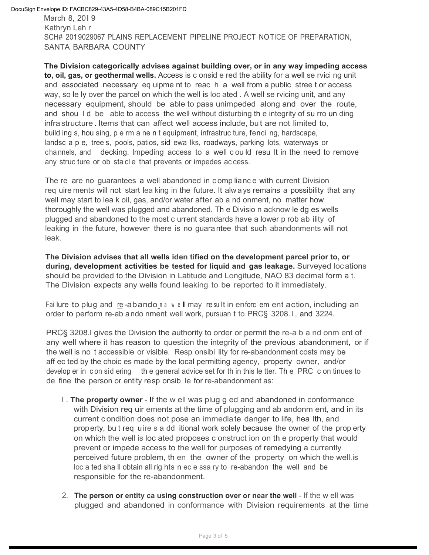March 8, 20l 9 Kathryn Leh r SCH# 2019029067 PLAINS REPLACEMENT PIPELINE PROJECT NOTICE OF PREPARATION, SANTA BARBARA COUNTY

**The Division categorically advises against building over, or in any way impeding access to, oil, gas, or geothermal wells.** Access is c onsid e red the ability for a well se rvici ng unit and associated necessary eq uipme nt to reac h a well from a public stree t or access way, so le ly over the parcel on which the well is loc ated . A well se rvicing unit, and any necessary equipment, should be able to pass unimpeded along and over the route, and shou l d be able to access the well without disturbing th e integrity of su rro un ding infrastructure . Items that can affect well access include, but are not limited to, build ing s, hou sing, p e rm a ne n t equipment, infrastruc ture, fenci ng, hardscape, landsc a p e, tree s, pools, patios, sid ewa lks, roadways, parking lots, waterways or cha nnels, and decking. Impeding access to a well c ou ld resu lt in the need to remove any struc ture or ob sta cl e that prevents or impedes ac cess.

The re are no guarantees a well abandoned in c omp lianc e with current Division req uire ments will not start lea king in the future. It alw ays remains a possibility that any well may start to lea k oil, gas, and/or water after ab a nd onment, no matter how thoroughly the well was plugged and abandoned. Th e Divisio n acknow le dg es wells plugged and abandoned to the most c urrent standards have a lower p rob ab ility of leaking in the future, however there is no guara ntee that such abandonments will not leak.

**The Division advises that all wells iden tified on the development parcel prior to, or during, development activities be tested for liquid and gas leakage.** Surveyed locations should be provided to the Division in Latitude and Longitude, NAO 83 decimal form a t. The Division expects any wells found leaking to be reported to it immediately.

Fai lure to plug and re-abando na w ell may re sult in enforc em ent action, including an order to perform re-ab ando nment well work, pursuan t to PRC§ 3208.l , and 3224.

PRC§ 3208.l gives the Division the authority to order or permit the re-a b a nd onm ent of any well where it has reason to question the integrity of the previous abandonment, or if the well is no t accessible or visible. Resp onsibi lity for re-abandonment costs may be aff ec ted by the choic es made by the local permitting agency, property owner, and/or develop er in c on sid ering the general advice set for th in this le tter. The PRC c on tinues to de fine the person or entity resp onsib le for re-abandonment as:

- l . **The property owner**  If the w ell was plug g ed and abandoned in conformance with Division req uir ements at the time of plugging and ab andonm ent, and in its current c ondition does not pose an immediate danger to life, hea lth, and property, bu t req uire s a dd itional work solely because the owner of the prop erty on which the well is loc ated proposes c onstruct ion on th e property that would prevent or impede access to the well for purposes of remedying a currently perceived future problem, th en the owner of the property on which the well.is loc a ted sha ll obtain all rig hts n ec e ssa ry to re-abandon the well and be responsible for the re-abandonment.
- 2. **The person or entity ca using construction over or near the well**  If the w ell was plugged and abandoned in conformance with Division requirements at the time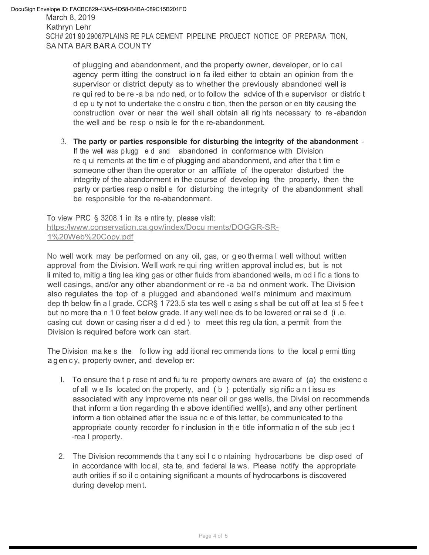of plugging and abandonment, and the property owner, developer, or lo cal agency perm itting the construct ion fa iled either to obtain an opinion from the supervisor or district deputy as to whether the previously abandoned well is re qui red to be re -a ba ndo ned, or to follow the advice of th e supervisor or distric t d ep u ty not to undertake the c onstru c tion, then the person or en tity causing the construction over or near the well shall obtain all rig hts necessary to re -abandon the well and be resp o nsib le for the re-abandonment.

3. **The party or parties responsible for disturbing the integrity of the abandonment** - If the well was plugg e d and abandoned in conformance with Division re q ui rements at the tim e of plugging and abandonment, and after tha t tim e someone other than the operator or an affiliate of the operator disturbed the integrity of the abandonment in the course of develop ing the property, then the party or parties resp o nsibl e for disturbing the integrity of the abandonment shall be responsible for the re-abandonment.

To view PRC § 3208.1 in its e ntire ty, please visit: https[:/lwww.conservation.ca.gov/index/Docu](http://www.conservation.ca.gov/index/Documents/DOGGR-SR-) [ments/DOGGR-SR-](http://www.conservation.ca.gov/index/Documents/DOGGR-SR-)1%20Web%20Copy.pdf

No well work may be performed on any oil, gas, or geo th erma l well without written approval from the Division. Well work re qui ring written approval includ es, but is not li mited to, mitig a ting lea king gas or other fluids from abandoned wells, m od i fic a tions to well casings, and/or any other abandonment or re -a ba nd onment work. The Division also regulates the top of a plugged and abandoned well's minimum and maximum dep th below fin a l grade. CCR§ 1 723.5 sta tes well c asing s shall be cut off at lea st 5 fee t but no more tha n 1 0 feet below grade. If any well nee ds to be lowered or rai se d (i.e. casing cut down or casing riser a d d ed ) to meet this reg ula tion, a permit from the Division is required before work can start.

The Division ma ke s the follow ing add itional rec ommenda tions to the local p ermi tting a g en c y, property owner, and develop er:

- l. To ensure tha t p rese nt and fu tu re property owners are aware of (a) the existenc e of all w e lls located on the property, and ( b ) potentially sig nific a n t issu es associated with any improveme nts near oil or gas wells, the Divisi on recommends that inform a tion regarding th e above identified well[s), and any other pertinent inform a tion obtained after the issua nc e of this letter, be communicated to the appropriate county recorder fo r inclusion in th e title inf ormatio n of the sub jec t -rea l property.
- 2. The Division recommends tha t any soi l c o ntaining hydrocarbons be disp osed of in accordance with loc al, sta te, and federal la ws. Please notify the appropriate auth orities if so il c ontaining significant a mounts of hydrocarbons is discovered during develop ment.